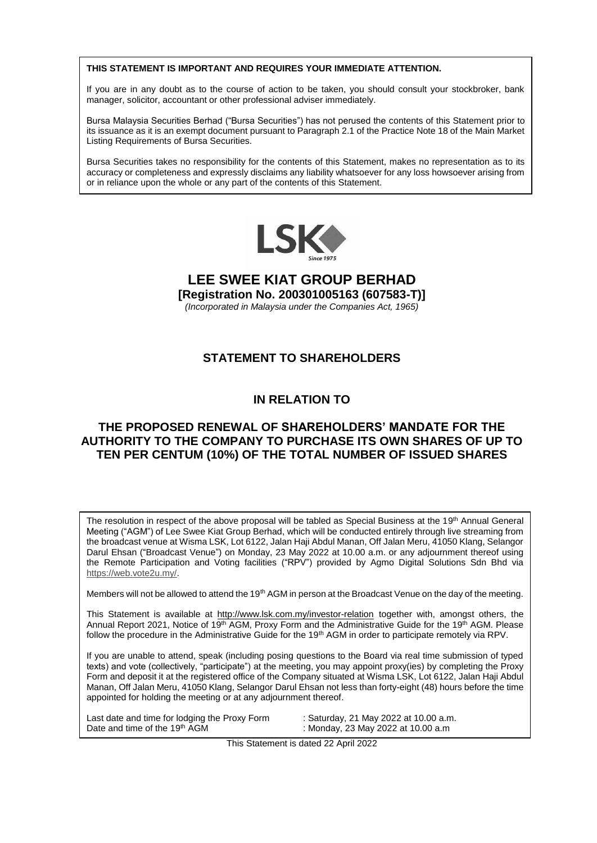#### **THIS STATEMENT IS IMPORTANT AND REQUIRES YOUR IMMEDIATE ATTENTION.**

If you are in any doubt as to the course of action to be taken, you should consult your stockbroker, bank manager, solicitor, accountant or other professional adviser immediately.

Bursa Malaysia Securities Berhad ("Bursa Securities") has not perused the contents of this Statement prior to its issuance as it is an exempt document pursuant to Paragraph 2.1 of the Practice Note 18 of the Main Market Listing Requirements of Bursa Securities.

Bursa Securities takes no responsibility for the contents of this Statement, makes no representation as to its accuracy or completeness and expressly disclaims any liability whatsoever for any loss howsoever arising from or in reliance upon the whole or any part of the contents of this Statement.



## **LEE SWEE KIAT GROUP BERHAD [Registration No. 200301005163 (607583-T)]**

*(Incorporated in Malaysia under the Companies Act, 1965)*

# **STATEMENT TO SHAREHOLDERS**

# **IN RELATION TO**

## **THE PROPOSED RENEWAL OF SHAREHOLDERS' MANDATE FOR THE AUTHORITY TO THE COMPANY TO PURCHASE ITS OWN SHARES OF UP TO TEN PER CENTUM (10%) OF THE TOTAL NUMBER OF ISSUED SHARES**

The resolution in respect of the above proposal will be tabled as Special Business at the 19<sup>th</sup> Annual General Meeting ("AGM") of Lee Swee Kiat Group Berhad, which will be conducted entirely through live streaming from the broadcast venue at Wisma LSK, Lot 6122, Jalan Haji Abdul Manan, Off Jalan Meru, 41050 Klang, Selangor Darul Ehsan ("Broadcast Venue") on Monday, 23 May 2022 at 10.00 a.m. or any adjournment thereof using the Remote Participation and Voting facilities ("RPV") provided by Agmo Digital Solutions Sdn Bhd via [https://web.vote2u.my/.](https://web.vote2u.my/)

Members will not be allowed to attend the 19<sup>th</sup> AGM in person at the Broadcast Venue on the day of the meeting.

This Statement is available at<http://www.lsk.com.my/investor-relation> together with, amongst others, the Annual Report 2021, Notice of 19<sup>th</sup> AGM, Proxy Form and the Administrative Guide for the 19<sup>th</sup> AGM. Please follow the procedure in the Administrative Guide for the 19<sup>th</sup> AGM in order to participate remotely via RPV.

If you are unable to attend, speak (including posing questions to the Board via real time submission of typed texts) and vote (collectively, "participate") at the meeting, you may appoint proxy(ies) by completing the Proxy Form and deposit it at the registered office of the Company situated at Wisma LSK, Lot 6122, Jalan Haji Abdul Manan, Off Jalan Meru, 41050 Klang, Selangor Darul Ehsan not less than forty-eight (48) hours before the time appointed for holding the meeting or at any adjournment thereof.

Last date and time for lodging the Proxy Form : Saturday, 21 May 2022 at 10.00 a.m. Date and time of the 19<sup>th</sup> AGM : Monday, 23 May 2022 at 10.00 a.m

This Statement is dated 22 April 2022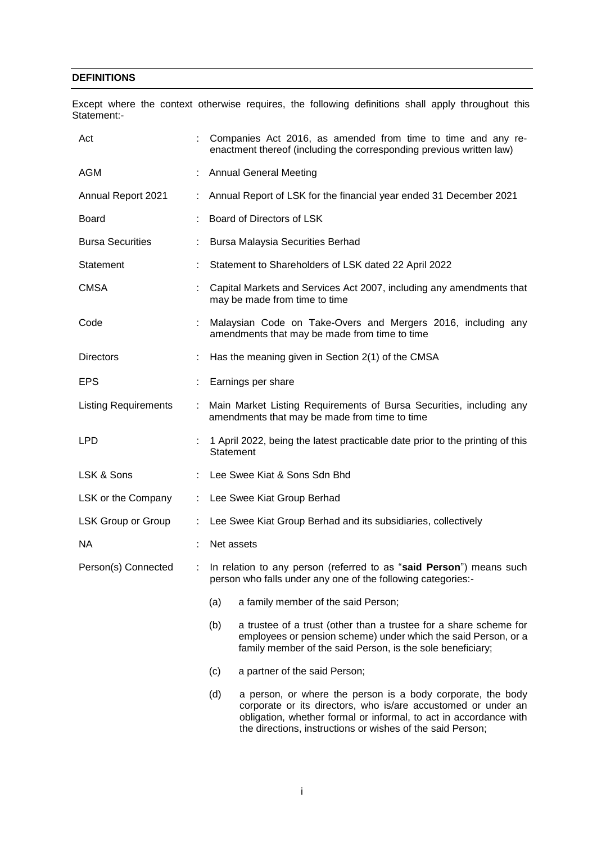## **DEFINITIONS**

Except where the context otherwise requires, the following definitions shall apply throughout this Statement:-

| Act                         |   | Companies Act 2016, as amended from time to time and any re-<br>enactment thereof (including the corresponding previous written law)                                                                                                                                   |  |  |  |  |  |
|-----------------------------|---|------------------------------------------------------------------------------------------------------------------------------------------------------------------------------------------------------------------------------------------------------------------------|--|--|--|--|--|
| AGM                         |   | <b>Annual General Meeting</b>                                                                                                                                                                                                                                          |  |  |  |  |  |
| Annual Report 2021          |   | Annual Report of LSK for the financial year ended 31 December 2021                                                                                                                                                                                                     |  |  |  |  |  |
| <b>Board</b>                |   | Board of Directors of LSK                                                                                                                                                                                                                                              |  |  |  |  |  |
| <b>Bursa Securities</b>     |   | <b>Bursa Malaysia Securities Berhad</b>                                                                                                                                                                                                                                |  |  |  |  |  |
| Statement                   |   | Statement to Shareholders of LSK dated 22 April 2022                                                                                                                                                                                                                   |  |  |  |  |  |
| <b>CMSA</b>                 |   | Capital Markets and Services Act 2007, including any amendments that<br>may be made from time to time                                                                                                                                                                  |  |  |  |  |  |
| Code                        | ÷ | Malaysian Code on Take-Overs and Mergers 2016, including any<br>amendments that may be made from time to time                                                                                                                                                          |  |  |  |  |  |
| Directors                   |   | Has the meaning given in Section 2(1) of the CMSA                                                                                                                                                                                                                      |  |  |  |  |  |
| <b>EPS</b>                  |   | Earnings per share                                                                                                                                                                                                                                                     |  |  |  |  |  |
| <b>Listing Requirements</b> |   | Main Market Listing Requirements of Bursa Securities, including any<br>amendments that may be made from time to time                                                                                                                                                   |  |  |  |  |  |
| <b>LPD</b>                  |   | 1 April 2022, being the latest practicable date prior to the printing of this<br>Statement                                                                                                                                                                             |  |  |  |  |  |
| LSK & Sons                  |   | Lee Swee Kiat & Sons Sdn Bhd                                                                                                                                                                                                                                           |  |  |  |  |  |
| LSK or the Company          |   | Lee Swee Kiat Group Berhad                                                                                                                                                                                                                                             |  |  |  |  |  |
| LSK Group or Group          |   | Lee Swee Kiat Group Berhad and its subsidiaries, collectively                                                                                                                                                                                                          |  |  |  |  |  |
| NA.                         |   | Net assets                                                                                                                                                                                                                                                             |  |  |  |  |  |
| Person(s) Connected<br>÷    |   | In relation to any person (referred to as "said Person") means such<br>person who falls under any one of the following categories:-                                                                                                                                    |  |  |  |  |  |
|                             |   | (a)<br>a family member of the said Person;                                                                                                                                                                                                                             |  |  |  |  |  |
|                             |   | (b)<br>a trustee of a trust (other than a trustee for a share scheme for<br>employees or pension scheme) under which the said Person, or a<br>family member of the said Person, is the sole beneficiary;                                                               |  |  |  |  |  |
|                             |   | (c)<br>a partner of the said Person;                                                                                                                                                                                                                                   |  |  |  |  |  |
|                             |   | (d)<br>a person, or where the person is a body corporate, the body<br>corporate or its directors, who is/are accustomed or under an<br>obligation, whether formal or informal, to act in accordance with<br>the directions, instructions or wishes of the said Person; |  |  |  |  |  |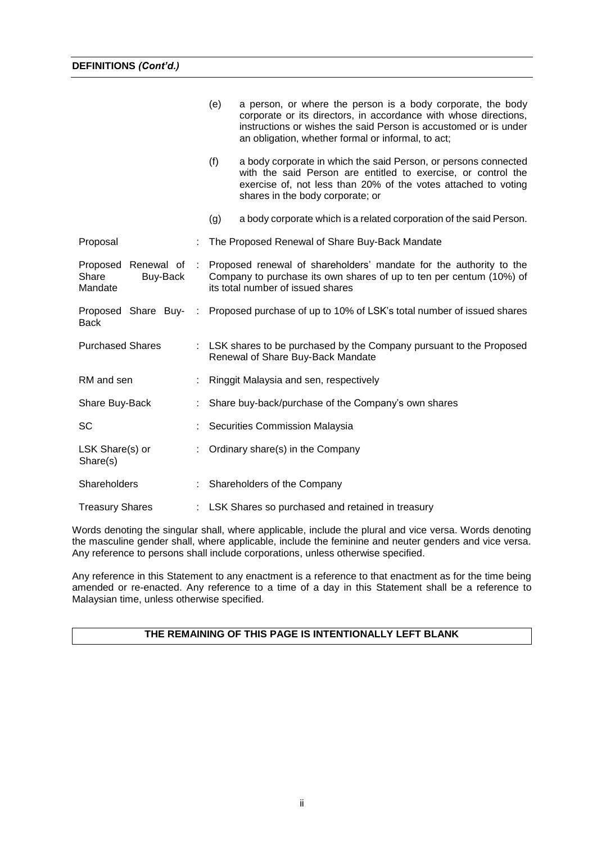|                                                        |     | (e)<br>a person, or where the person is a body corporate, the body<br>corporate or its directors, in accordance with whose directions,<br>instructions or wishes the said Person is accustomed or is under<br>an obligation, whether formal or informal, to act; |
|--------------------------------------------------------|-----|------------------------------------------------------------------------------------------------------------------------------------------------------------------------------------------------------------------------------------------------------------------|
|                                                        |     | (f)<br>a body corporate in which the said Person, or persons connected<br>with the said Person are entitled to exercise, or control the<br>exercise of, not less than 20% of the votes attached to voting<br>shares in the body corporate; or                    |
|                                                        |     | (g)<br>a body corporate which is a related corporation of the said Person.                                                                                                                                                                                       |
| Proposal                                               |     | The Proposed Renewal of Share Buy-Back Mandate                                                                                                                                                                                                                   |
| Proposed<br>Renewal of<br>Share<br>Buy-Back<br>Mandate | -11 | Proposed renewal of shareholders' mandate for the authority to the<br>Company to purchase its own shares of up to ten per centum (10%) of<br>its total number of issued shares                                                                                   |
| <b>Back</b>                                            |     | Proposed Share Buy- : Proposed purchase of up to 10% of LSK's total number of issued shares                                                                                                                                                                      |
| <b>Purchased Shares</b>                                |     | : LSK shares to be purchased by the Company pursuant to the Proposed<br>Renewal of Share Buy-Back Mandate                                                                                                                                                        |
| RM and sen                                             |     | Ringgit Malaysia and sen, respectively                                                                                                                                                                                                                           |
| Share Buy-Back                                         |     | Share buy-back/purchase of the Company's own shares                                                                                                                                                                                                              |
| SC                                                     |     | Securities Commission Malaysia                                                                                                                                                                                                                                   |
| LSK Share(s) or<br>Share(s)                            |     | Ordinary share(s) in the Company                                                                                                                                                                                                                                 |
| Shareholders                                           |     | Shareholders of the Company                                                                                                                                                                                                                                      |
| <b>Treasury Shares</b>                                 |     | LSK Shares so purchased and retained in treasury                                                                                                                                                                                                                 |

Words denoting the singular shall, where applicable, include the plural and vice versa. Words denoting the masculine gender shall, where applicable, include the feminine and neuter genders and vice versa. Any reference to persons shall include corporations, unless otherwise specified.

Any reference in this Statement to any enactment is a reference to that enactment as for the time being amended or re-enacted. Any reference to a time of a day in this Statement shall be a reference to Malaysian time, unless otherwise specified.

## **THE REMAINING OF THIS PAGE IS INTENTIONALLY LEFT BLANK**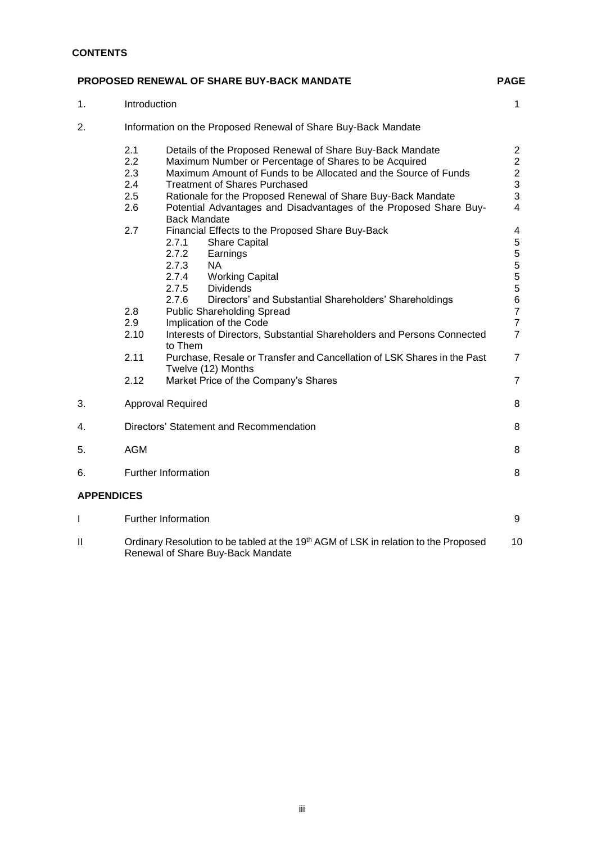## **CONTENTS**

|                   |                                        | <b>PROPOSED RENEWAL OF SHARE BUY-BACK MANDATE</b>                                                                                                                                                                                                                                                                                                                                         | <b>PAGE</b>                                                                                    |
|-------------------|----------------------------------------|-------------------------------------------------------------------------------------------------------------------------------------------------------------------------------------------------------------------------------------------------------------------------------------------------------------------------------------------------------------------------------------------|------------------------------------------------------------------------------------------------|
| 1.                | Introduction                           |                                                                                                                                                                                                                                                                                                                                                                                           | $\mathbf{1}$                                                                                   |
| 2.                |                                        | Information on the Proposed Renewal of Share Buy-Back Mandate                                                                                                                                                                                                                                                                                                                             |                                                                                                |
|                   | 2.1<br>2.2<br>2.3<br>2.4<br>2.5<br>2.6 | Details of the Proposed Renewal of Share Buy-Back Mandate<br>Maximum Number or Percentage of Shares to be Acquired<br>Maximum Amount of Funds to be Allocated and the Source of Funds<br><b>Treatment of Shares Purchased</b><br>Rationale for the Proposed Renewal of Share Buy-Back Mandate<br>Potential Advantages and Disadvantages of the Proposed Share Buy-<br><b>Back Mandate</b> | $\overline{2}$<br>$\overline{2}$<br>$\overline{c}$<br>$\frac{3}{3}$<br>$\overline{4}$          |
|                   | 2.7<br>2.8<br>2.9                      | Financial Effects to the Proposed Share Buy-Back<br>2.7.1<br><b>Share Capital</b><br>2.7.2<br>Earnings<br>2.7.3<br><b>NA</b><br>2.7.4<br><b>Working Capital</b><br>2.7.5<br><b>Dividends</b><br>2.7.6<br>Directors' and Substantial Shareholders' Shareholdings<br><b>Public Shareholding Spread</b><br>Implication of the Code                                                           | 4<br>$\mathbf 5$<br>$\mathbf 5$<br>$\frac{5}{5}$<br>5<br>6<br>$\overline{7}$<br>$\overline{7}$ |
|                   | 2.10                                   | Interests of Directors, Substantial Shareholders and Persons Connected<br>to Them                                                                                                                                                                                                                                                                                                         | $\overline{7}$                                                                                 |
|                   | 2.11                                   | Purchase, Resale or Transfer and Cancellation of LSK Shares in the Past<br>Twelve (12) Months                                                                                                                                                                                                                                                                                             | $\overline{7}$                                                                                 |
|                   | 2.12                                   | Market Price of the Company's Shares                                                                                                                                                                                                                                                                                                                                                      | $\overline{7}$                                                                                 |
| 3.                |                                        | <b>Approval Required</b>                                                                                                                                                                                                                                                                                                                                                                  | 8                                                                                              |
| 4.                |                                        | Directors' Statement and Recommendation                                                                                                                                                                                                                                                                                                                                                   | 8                                                                                              |
| 5.                | <b>AGM</b>                             |                                                                                                                                                                                                                                                                                                                                                                                           | 8                                                                                              |
| 6.                |                                        | <b>Further Information</b>                                                                                                                                                                                                                                                                                                                                                                | 8                                                                                              |
| <b>APPENDICES</b> |                                        |                                                                                                                                                                                                                                                                                                                                                                                           |                                                                                                |
| $\mathbf{I}$      |                                        | <b>Further Information</b>                                                                                                                                                                                                                                                                                                                                                                | 9                                                                                              |
| Ш                 |                                        | Ordinary Resolution to be tabled at the 19th AGM of LSK in relation to the Proposed                                                                                                                                                                                                                                                                                                       | 10                                                                                             |

Renewal of Share Buy-Back Mandate

iii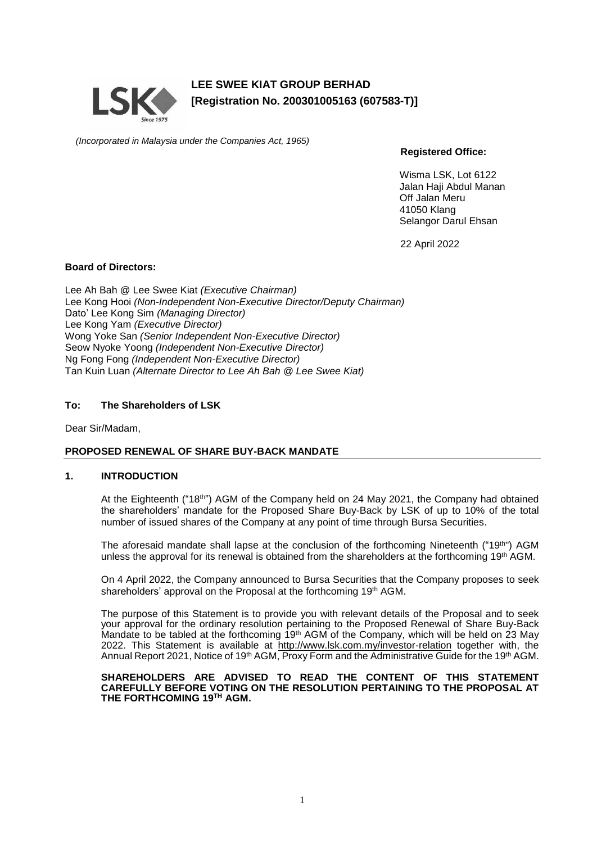

**LEE SWEE KIAT GROUP BERHAD [Registration No. 200301005163 (607583-T)]**

*(Incorporated in Malaysia under the Companies Act, 1965)*

**Registered Office:**

Wisma LSK, Lot 6122 Jalan Haji Abdul Manan Off Jalan Meru 41050 Klang Selangor Darul Ehsan

22 April 2022

### **Board of Directors:**

Lee Ah Bah @ Lee Swee Kiat *(Executive Chairman)* Lee Kong Hooi *(Non-Independent Non-Executive Director/Deputy Chairman)* Dato' Lee Kong Sim *(Managing Director)* Lee Kong Yam *(Executive Director)* Wong Yoke San *(Senior Independent Non-Executive Director)* Seow Nyoke Yoong *(Independent Non-Executive Director)* Ng Fong Fong *(Independent Non-Executive Director)* Tan Kuin Luan *(Alternate Director to Lee Ah Bah @ Lee Swee Kiat)*

## **To: The Shareholders of LSK**

Dear Sir/Madam,

## **PROPOSED RENEWAL OF SHARE BUY-BACK MANDATE**

## **1. INTRODUCTION**

At the Eighteenth ("18<sup>th"</sup>) AGM of the Company held on 24 May 2021, the Company had obtained the shareholders' mandate for the Proposed Share Buy-Back by LSK of up to 10% of the total number of issued shares of the Company at any point of time through Bursa Securities.

The aforesaid mandate shall lapse at the conclusion of the forthcoming Nineteenth ("19<sup>th"</sup>) AGM unless the approval for its renewal is obtained from the shareholders at the forthcoming 19<sup>th</sup> AGM.

On 4 April 2022, the Company announced to Bursa Securities that the Company proposes to seek shareholders' approval on the Proposal at the forthcoming 19<sup>th</sup> AGM.

The purpose of this Statement is to provide you with relevant details of the Proposal and to seek your approval for the ordinary resolution pertaining to the Proposed Renewal of Share Buy-Back Mandate to be tabled at the forthcoming  $19<sup>th</sup>$  AGM of the Company, which will be held on 23 May 2022. This Statement is available at <http://www.lsk.com.my/investor-relation> together with, the Annual Report 2021, Notice of 19<sup>th</sup> AGM, Proxy Form and the Administrative Guide for the 19<sup>th</sup> AGM.

#### **SHAREHOLDERS ARE ADVISED TO READ THE CONTENT OF THIS STATEMENT CAREFULLY BEFORE VOTING ON THE RESOLUTION PERTAINING TO THE PROPOSAL AT THE FORTHCOMING 19 TH AGM.**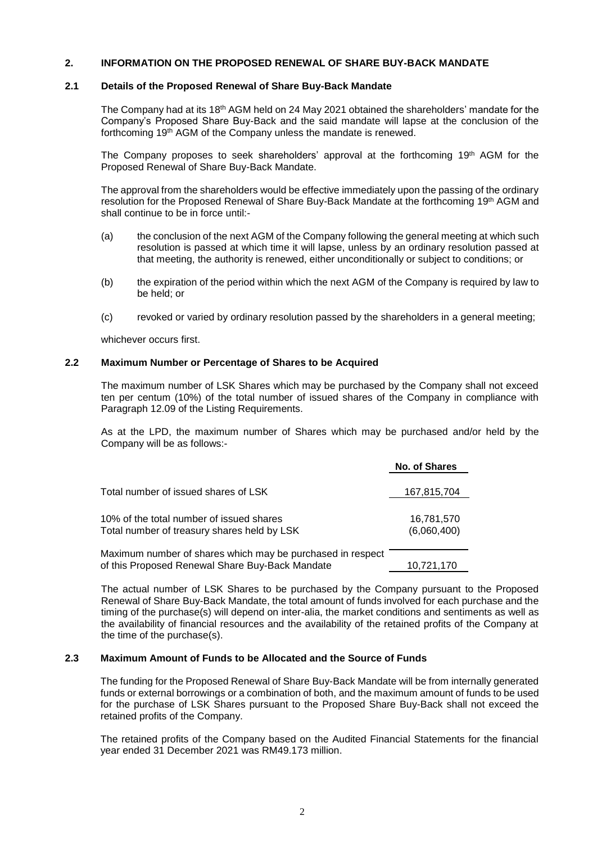#### **2. INFORMATION ON THE PROPOSED RENEWAL OF SHARE BUY-BACK MANDATE**

#### **2.1 Details of the Proposed Renewal of Share Buy-Back Mandate**

The Company had at its 18<sup>th</sup> AGM held on 24 May 2021 obtained the shareholders' mandate for the Company's Proposed Share Buy-Back and the said mandate will lapse at the conclusion of the forthcoming 19<sup>th</sup> AGM of the Company unless the mandate is renewed.

The Company proposes to seek shareholders' approval at the forthcoming 19<sup>th</sup> AGM for the Proposed Renewal of Share Buy-Back Mandate.

The approval from the shareholders would be effective immediately upon the passing of the ordinary resolution for the Proposed Renewal of Share Buy-Back Mandate at the forthcoming 19<sup>th</sup> AGM and shall continue to be in force until:-

- (a) the conclusion of the next AGM of the Company following the general meeting at which such resolution is passed at which time it will lapse, unless by an ordinary resolution passed at that meeting, the authority is renewed, either unconditionally or subject to conditions; or
- (b) the expiration of the period within which the next AGM of the Company is required by law to be held; or
- (c) revoked or varied by ordinary resolution passed by the shareholders in a general meeting;

whichever occurs first.

### **2.2 Maximum Number or Percentage of Shares to be Acquired**

The maximum number of LSK Shares which may be purchased by the Company shall not exceed ten per centum (10%) of the total number of issued shares of the Company in compliance with Paragraph 12.09 of the Listing Requirements.

As at the LPD, the maximum number of Shares which may be purchased and/or held by the Company will be as follows:-

|                                                                                                               | No. of Shares             |
|---------------------------------------------------------------------------------------------------------------|---------------------------|
| Total number of issued shares of LSK                                                                          | 167,815,704               |
| 10% of the total number of issued shares<br>Total number of treasury shares held by LSK                       | 16,781,570<br>(6,060,400) |
| Maximum number of shares which may be purchased in respect<br>of this Proposed Renewal Share Buy-Back Mandate | 10,721,170                |

The actual number of LSK Shares to be purchased by the Company pursuant to the Proposed Renewal of Share Buy-Back Mandate, the total amount of funds involved for each purchase and the timing of the purchase(s) will depend on inter-alia, the market conditions and sentiments as well as the availability of financial resources and the availability of the retained profits of the Company at the time of the purchase(s).

## **2.3 Maximum Amount of Funds to be Allocated and the Source of Funds**

The funding for the Proposed Renewal of Share Buy-Back Mandate will be from internally generated funds or external borrowings or a combination of both, and the maximum amount of funds to be used for the purchase of LSK Shares pursuant to the Proposed Share Buy-Back shall not exceed the retained profits of the Company.

The retained profits of the Company based on the Audited Financial Statements for the financial year ended 31 December 2021 was RM49.173 million.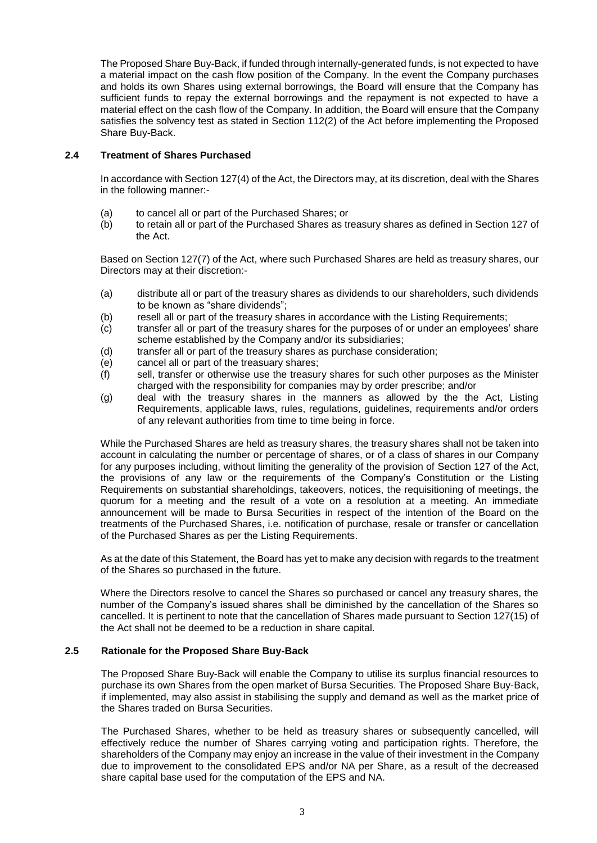The Proposed Share Buy-Back, if funded through internally-generated funds, is not expected to have a material impact on the cash flow position of the Company. In the event the Company purchases and holds its own Shares using external borrowings, the Board will ensure that the Company has sufficient funds to repay the external borrowings and the repayment is not expected to have a material effect on the cash flow of the Company. In addition, the Board will ensure that the Company satisfies the solvency test as stated in Section 112(2) of the Act before implementing the Proposed Share Buy-Back.

## **2.4 Treatment of Shares Purchased**

In accordance with Section 127(4) of the Act, the Directors may, at its discretion, deal with the Shares in the following manner:-

- (a) to cancel all or part of the Purchased Shares; or
- (b) to retain all or part of the Purchased Shares as treasury shares as defined in Section 127 of the Act.

Based on Section 127(7) of the Act, where such Purchased Shares are held as treasury shares, our Directors may at their discretion:-

- (a) distribute all or part of the treasury shares as dividends to our shareholders, such dividends to be known as "share dividends";
- (b) resell all or part of the treasury shares in accordance with the Listing Requirements;
- (c) transfer all or part of the treasury shares for the purposes of or under an employees' share scheme established by the Company and/or its subsidiaries;
- (d) transfer all or part of the treasury shares as purchase consideration;
- (e) cancel all or part of the treasuary shares;
- (f) sell, transfer or otherwise use the treasury shares for such other purposes as the Minister charged with the responsibility for companies may by order prescribe; and/or
- (g) deal with the treasury shares in the manners as allowed by the the Act, Listing Requirements, applicable laws, rules, regulations, guidelines, requirements and/or orders of any relevant authorities from time to time being in force.

While the Purchased Shares are held as treasury shares, the treasury shares shall not be taken into account in calculating the number or percentage of shares, or of a class of shares in our Company for any purposes including, without limiting the generality of the provision of Section 127 of the Act, the provisions of any law or the requirements of the Company's Constitution or the Listing Requirements on substantial shareholdings, takeovers, notices, the requisitioning of meetings, the quorum for a meeting and the result of a vote on a resolution at a meeting. An immediate announcement will be made to Bursa Securities in respect of the intention of the Board on the treatments of the Purchased Shares, i.e. notification of purchase, resale or transfer or cancellation of the Purchased Shares as per the Listing Requirements.

As at the date of this Statement, the Board has yet to make any decision with regards to the treatment of the Shares so purchased in the future.

Where the Directors resolve to cancel the Shares so purchased or cancel any treasury shares, the number of the Company's issued shares shall be diminished by the cancellation of the Shares so cancelled. It is pertinent to note that the cancellation of Shares made pursuant to Section 127(15) of the Act shall not be deemed to be a reduction in share capital.

## **2.5 Rationale for the Proposed Share Buy-Back**

The Proposed Share Buy-Back will enable the Company to utilise its surplus financial resources to purchase its own Shares from the open market of Bursa Securities. The Proposed Share Buy-Back, if implemented, may also assist in stabilising the supply and demand as well as the market price of the Shares traded on Bursa Securities.

The Purchased Shares, whether to be held as treasury shares or subsequently cancelled, will effectively reduce the number of Shares carrying voting and participation rights. Therefore, the shareholders of the Company may enjoy an increase in the value of their investment in the Company due to improvement to the consolidated EPS and/or NA per Share, as a result of the decreased share capital base used for the computation of the EPS and NA.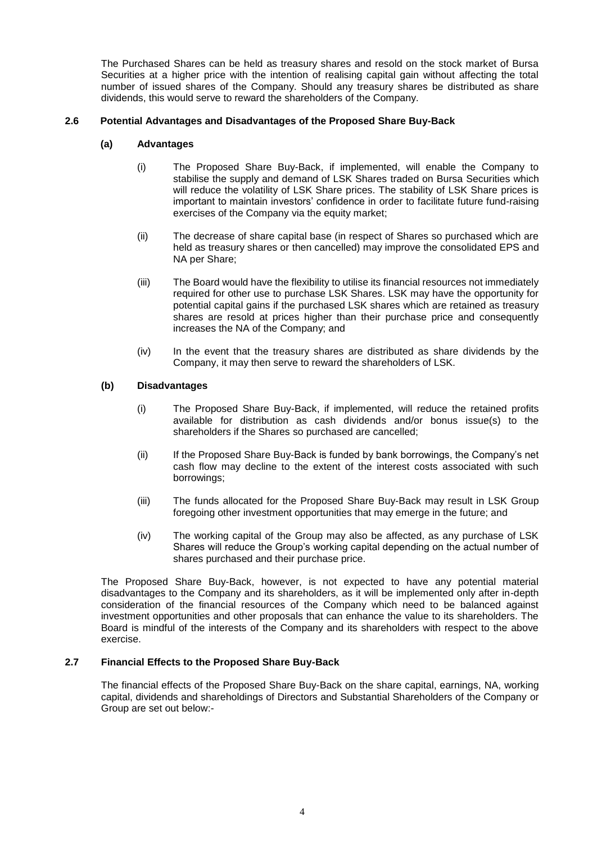The Purchased Shares can be held as treasury shares and resold on the stock market of Bursa Securities at a higher price with the intention of realising capital gain without affecting the total number of issued shares of the Company. Should any treasury shares be distributed as share dividends, this would serve to reward the shareholders of the Company.

## **2.6 Potential Advantages and Disadvantages of the Proposed Share Buy-Back**

## **(a) Advantages**

- (i) The Proposed Share Buy-Back, if implemented, will enable the Company to stabilise the supply and demand of LSK Shares traded on Bursa Securities which will reduce the volatility of LSK Share prices. The stability of LSK Share prices is important to maintain investors' confidence in order to facilitate future fund-raising exercises of the Company via the equity market;
- (ii) The decrease of share capital base (in respect of Shares so purchased which are held as treasury shares or then cancelled) may improve the consolidated EPS and NA per Share;
- (iii) The Board would have the flexibility to utilise its financial resources not immediately required for other use to purchase LSK Shares. LSK may have the opportunity for potential capital gains if the purchased LSK shares which are retained as treasury shares are resold at prices higher than their purchase price and consequently increases the NA of the Company; and
- (iv) In the event that the treasury shares are distributed as share dividends by the Company, it may then serve to reward the shareholders of LSK.

## **(b) Disadvantages**

- (i) The Proposed Share Buy-Back, if implemented, will reduce the retained profits available for distribution as cash dividends and/or bonus issue(s) to the shareholders if the Shares so purchased are cancelled;
- (ii) If the Proposed Share Buy-Back is funded by bank borrowings, the Company's net cash flow may decline to the extent of the interest costs associated with such borrowings;
- (iii) The funds allocated for the Proposed Share Buy-Back may result in LSK Group foregoing other investment opportunities that may emerge in the future; and
- (iv) The working capital of the Group may also be affected, as any purchase of LSK Shares will reduce the Group's working capital depending on the actual number of shares purchased and their purchase price.

The Proposed Share Buy-Back, however, is not expected to have any potential material disadvantages to the Company and its shareholders, as it will be implemented only after in-depth consideration of the financial resources of the Company which need to be balanced against investment opportunities and other proposals that can enhance the value to its shareholders. The Board is mindful of the interests of the Company and its shareholders with respect to the above exercise.

## **2.7 Financial Effects to the Proposed Share Buy-Back**

The financial effects of the Proposed Share Buy-Back on the share capital, earnings, NA, working capital, dividends and shareholdings of Directors and Substantial Shareholders of the Company or Group are set out below:-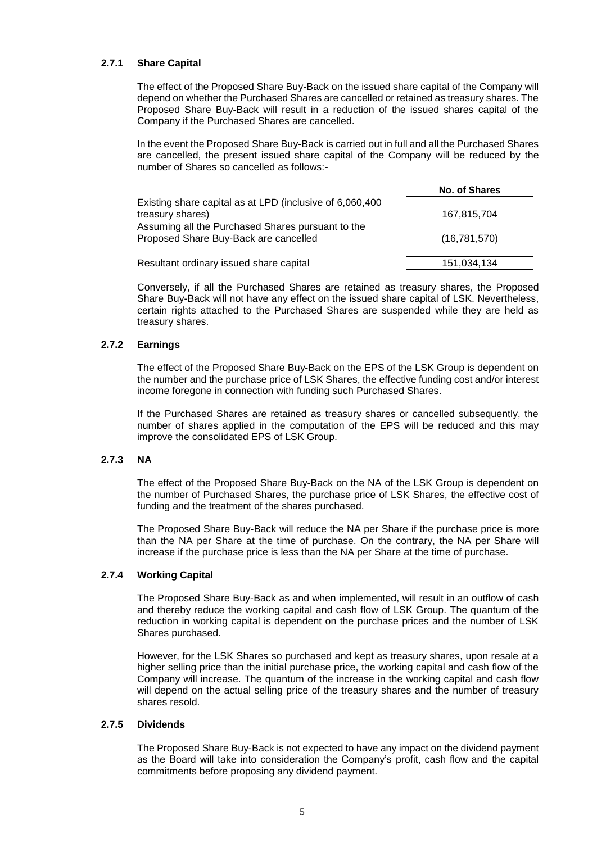## **2.7.1 Share Capital**

The effect of the Proposed Share Buy-Back on the issued share capital of the Company will depend on whether the Purchased Shares are cancelled or retained as treasury shares. The Proposed Share Buy-Back will result in a reduction of the issued shares capital of the Company if the Purchased Shares are cancelled.

In the event the Proposed Share Buy-Back is carried out in full and all the Purchased Shares are cancelled, the present issued share capital of the Company will be reduced by the number of Shares so cancelled as follows:-

|                                                                                            | <b>No. of Shares</b> |
|--------------------------------------------------------------------------------------------|----------------------|
| Existing share capital as at LPD (inclusive of 6,060,400                                   |                      |
| treasury shares)                                                                           | 167.815.704          |
| Assuming all the Purchased Shares pursuant to the<br>Proposed Share Buy-Back are cancelled | (16,781,570)         |
| Resultant ordinary issued share capital                                                    | 151,034,134          |

Conversely, if all the Purchased Shares are retained as treasury shares, the Proposed Share Buy-Back will not have any effect on the issued share capital of LSK. Nevertheless, certain rights attached to the Purchased Shares are suspended while they are held as treasury shares.

## **2.7.2 Earnings**

The effect of the Proposed Share Buy-Back on the EPS of the LSK Group is dependent on the number and the purchase price of LSK Shares, the effective funding cost and/or interest income foregone in connection with funding such Purchased Shares.

If the Purchased Shares are retained as treasury shares or cancelled subsequently, the number of shares applied in the computation of the EPS will be reduced and this may improve the consolidated EPS of LSK Group.

## **2.7.3 NA**

The effect of the Proposed Share Buy-Back on the NA of the LSK Group is dependent on the number of Purchased Shares, the purchase price of LSK Shares, the effective cost of funding and the treatment of the shares purchased.

The Proposed Share Buy-Back will reduce the NA per Share if the purchase price is more than the NA per Share at the time of purchase. On the contrary, the NA per Share will increase if the purchase price is less than the NA per Share at the time of purchase.

#### **2.7.4 Working Capital**

The Proposed Share Buy-Back as and when implemented, will result in an outflow of cash and thereby reduce the working capital and cash flow of LSK Group. The quantum of the reduction in working capital is dependent on the purchase prices and the number of LSK Shares purchased.

However, for the LSK Shares so purchased and kept as treasury shares, upon resale at a higher selling price than the initial purchase price, the working capital and cash flow of the Company will increase. The quantum of the increase in the working capital and cash flow will depend on the actual selling price of the treasury shares and the number of treasury shares resold.

#### **2.7.5 Dividends**

The Proposed Share Buy-Back is not expected to have any impact on the dividend payment as the Board will take into consideration the Company's profit, cash flow and the capital commitments before proposing any dividend payment.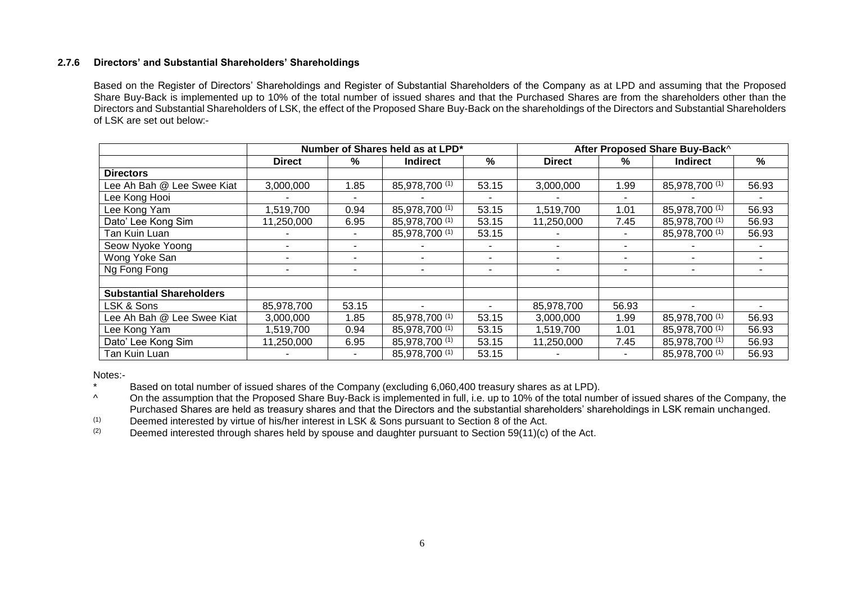## **2.7.6 Directors' and Substantial Shareholders' Shareholdings**

Based on the Register of Directors' Shareholdings and Register of Substantial Shareholders of the Company as at LPD and assuming that the Proposed Share Buy-Back is implemented up to 10% of the total number of issued shares and that the Purchased Shares are from the shareholders other than the Directors and Substantial Shareholders of LSK, the effect of the Proposed Share Buy-Back on the shareholdings of the Directors and Substantial Shareholders of LSK are set out below:-

|                                 | Number of Shares held as at LPD* |       |                 |       | After Proposed Share Buy-Back^ |       |                 |       |
|---------------------------------|----------------------------------|-------|-----------------|-------|--------------------------------|-------|-----------------|-------|
|                                 | <b>Direct</b>                    | %     | <b>Indirect</b> | $\%$  | <b>Direct</b>                  | %     | <b>Indirect</b> | %     |
| <b>Directors</b>                |                                  |       |                 |       |                                |       |                 |       |
| Lee Ah Bah @ Lee Swee Kiat      | 3,000,000                        | .85   | 85,978,700 (1)  | 53.15 | 3,000,000                      | 1.99  | 85,978,700 (1)  | 56.93 |
| Lee Kong Hooi                   |                                  |       |                 |       |                                |       |                 |       |
| Lee Kong Yam                    | ,519,700                         | 0.94  | 85,978,700 (1)  | 53.15 | 1,519,700                      | 1.01  | 85,978,700 (1)  | 56.93 |
| Dato' Lee Kong Sim              | 11,250,000                       | 6.95  | 85,978,700 (1)  | 53.15 | 11,250,000                     | 7.45  | 85,978,700 (1)  | 56.93 |
| Tan Kuin Luan                   |                                  |       | 85,978,700 (1)  | 53.15 |                                | ۰     | 85,978,700 (1)  | 56.93 |
| Seow Nyoke Yoong                |                                  |       |                 |       |                                |       |                 |       |
| Wong Yoke San                   |                                  |       |                 | ٠     |                                | ۰     |                 |       |
| Ng Fong Fong                    | ۰                                |       |                 | ۰     |                                | ۰     | ۰               |       |
|                                 |                                  |       |                 |       |                                |       |                 |       |
| <b>Substantial Shareholders</b> |                                  |       |                 |       |                                |       |                 |       |
| LSK & Sons                      | 85,978,700                       | 53.15 |                 |       | 85,978,700                     | 56.93 |                 |       |
| Lee Ah Bah @ Lee Swee Kiat      | 3,000,000                        | 1.85  | 85,978,700 (1)  | 53.15 | 3,000,000                      | 1.99  | 85,978,700 (1)  | 56.93 |
| Lee Kong Yam                    | 1,519,700                        | 0.94  | 85,978,700 (1)  | 53.15 | 1,519,700                      | 1.01  | 85,978,700 (1)  | 56.93 |
| Dato' Lee Kong Sim              | 11,250,000                       | 6.95  | 85,978,700 (1)  | 53.15 | 11,250,000                     | 7.45  | 85,978,700 (1)  | 56.93 |
| Tan Kuin Luan                   |                                  |       | 85,978,700 (1)  | 53.15 |                                | ۰.    | 85,978,700 (1)  | 56.93 |

Notes:-

Based on total number of issued shares of the Company (excluding 6,060,400 treasury shares as at LPD).

<sup>^</sup> On the assumption that the Proposed Share Buy-Back is implemented in full, i.e. up to 10% of the total number of issued shares of the Company, the Purchased Shares are held as treasury shares and that the Directors and the substantial shareholders' shareholdings in LSK remain unchanged.

(1) Deemed interested by virtue of his/her interest in LSK & Sons pursuant to Section 8 of the Act.<br>(2) Deemed interested through shares held by spouse and daughter pursuant to Section 59(11)(c)

Deemed interested through shares held by spouse and daughter pursuant to Section 59(11)(c) of the Act.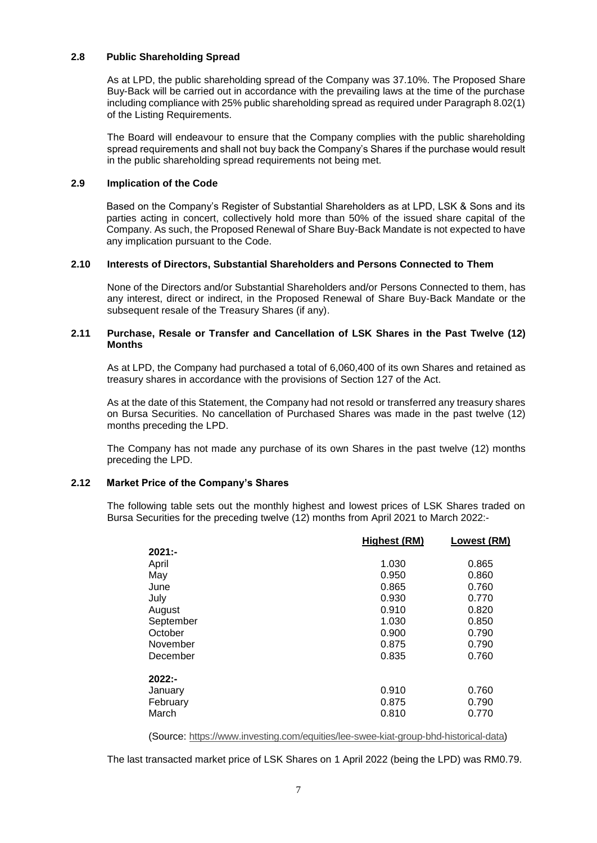#### **2.8 Public Shareholding Spread**

As at LPD, the public shareholding spread of the Company was 37.10%. The Proposed Share Buy-Back will be carried out in accordance with the prevailing laws at the time of the purchase including compliance with 25% public shareholding spread as required under Paragraph 8.02(1) of the Listing Requirements.

The Board will endeavour to ensure that the Company complies with the public shareholding spread requirements and shall not buy back the Company's Shares if the purchase would result in the public shareholding spread requirements not being met.

### **2.9 Implication of the Code**

Based on the Company's Register of Substantial Shareholders as at LPD, LSK & Sons and its parties acting in concert, collectively hold more than 50% of the issued share capital of the Company. As such, the Proposed Renewal of Share Buy-Back Mandate is not expected to have any implication pursuant to the Code.

### **2.10 Interests of Directors, Substantial Shareholders and Persons Connected to Them**

None of the Directors and/or Substantial Shareholders and/or Persons Connected to them, has any interest, direct or indirect, in the Proposed Renewal of Share Buy-Back Mandate or the subsequent resale of the Treasury Shares (if any).

### **2.11 Purchase, Resale or Transfer and Cancellation of LSK Shares in the Past Twelve (12) Months**

As at LPD, the Company had purchased a total of 6,060,400 of its own Shares and retained as treasury shares in accordance with the provisions of Section 127 of the Act.

As at the date of this Statement, the Company had not resold or transferred any treasury shares on Bursa Securities. No cancellation of Purchased Shares was made in the past twelve (12) months preceding the LPD.

The Company has not made any purchase of its own Shares in the past twelve (12) months preceding the LPD.

## **2.12 Market Price of the Company's Shares**

The following table sets out the monthly highest and lowest prices of LSK Shares traded on Bursa Securities for the preceding twelve (12) months from April 2021 to March 2022:-

|           | Highest (RM) | Lowest (RM) |
|-----------|--------------|-------------|
| $2021: -$ |              |             |
| April     | 1.030        | 0.865       |
| May       | 0.950        | 0.860       |
| June      | 0.865        | 0.760       |
| July      | 0.930        | 0.770       |
| August    | 0.910        | 0.820       |
| September | 1.030        | 0.850       |
| October   | 0.900        | 0.790       |
| November  | 0.875        | 0.790       |
| December  | 0.835        | 0.760       |
| $2022: -$ |              |             |
| January   | 0.910        | 0.760       |
| February  | 0.875        | 0.790       |
| March     | 0.810        | 0.770       |

(Source: [https://www.investing.com/equities/lee-swee-kiat-group-bhd-historical-data\)](https://www.investing.com/equities/lee-swee-kiat-group-bhd-historical-data)

The last transacted market price of LSK Shares on 1 April 2022 (being the LPD) was RM0.79.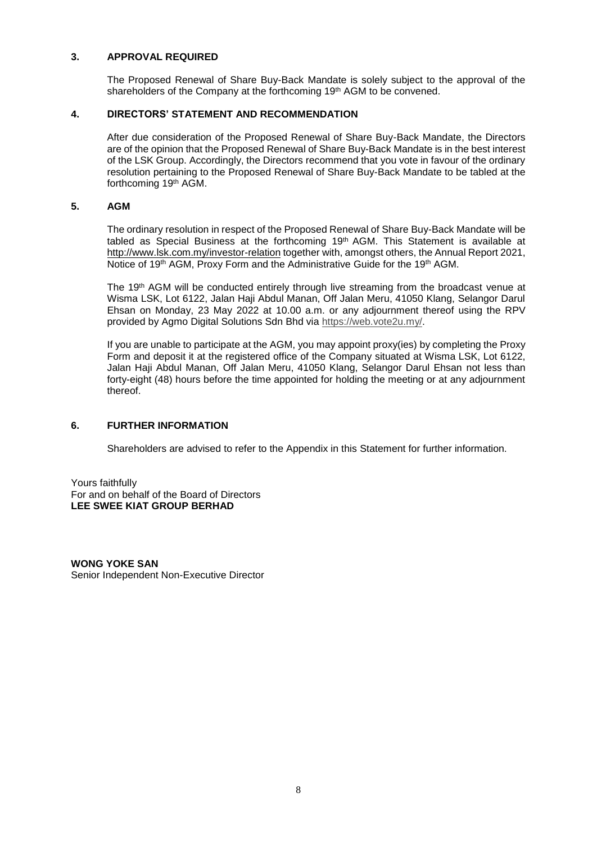## **3. APPROVAL REQUIRED**

The Proposed Renewal of Share Buy-Back Mandate is solely subject to the approval of the shareholders of the Company at the forthcoming 19<sup>th</sup> AGM to be convened.

## **4. DIRECTORS' STATEMENT AND RECOMMENDATION**

After due consideration of the Proposed Renewal of Share Buy-Back Mandate, the Directors are of the opinion that the Proposed Renewal of Share Buy-Back Mandate is in the best interest of the LSK Group. Accordingly, the Directors recommend that you vote in favour of the ordinary resolution pertaining to the Proposed Renewal of Share Buy-Back Mandate to be tabled at the forthcoming 19<sup>th</sup> AGM.

#### **5. AGM**

The ordinary resolution in respect of the Proposed Renewal of Share Buy-Back Mandate will be tabled as Special Business at the forthcoming  $19<sup>th</sup>$  AGM. This Statement is available at <http://www.lsk.com.my/investor-relation> together with, amongst others, the Annual Report 2021, Notice of 19<sup>th</sup> AGM, Proxy Form and the Administrative Guide for the 19<sup>th</sup> AGM.

The 19<sup>th</sup> AGM will be conducted entirely through live streaming from the broadcast venue at Wisma LSK, Lot 6122, Jalan Haji Abdul Manan, Off Jalan Meru, 41050 Klang, Selangor Darul Ehsan on Monday, 23 May 2022 at 10.00 a.m. or any adjournment thereof using the RPV provided by Agmo Digital Solutions Sdn Bhd via [https://web.vote2u.my/.](https://web.vote2u.my/)

If you are unable to participate at the AGM, you may appoint proxy(ies) by completing the Proxy Form and deposit it at the registered office of the Company situated at Wisma LSK, Lot 6122, Jalan Haji Abdul Manan, Off Jalan Meru, 41050 Klang, Selangor Darul Ehsan not less than forty-eight (48) hours before the time appointed for holding the meeting or at any adjournment thereof.

## **6. FURTHER INFORMATION**

Shareholders are advised to refer to the Appendix in this Statement for further information.

Yours faithfully For and on behalf of the Board of Directors **LEE SWEE KIAT GROUP BERHAD**

**WONG YOKE SAN** Senior Independent Non-Executive Director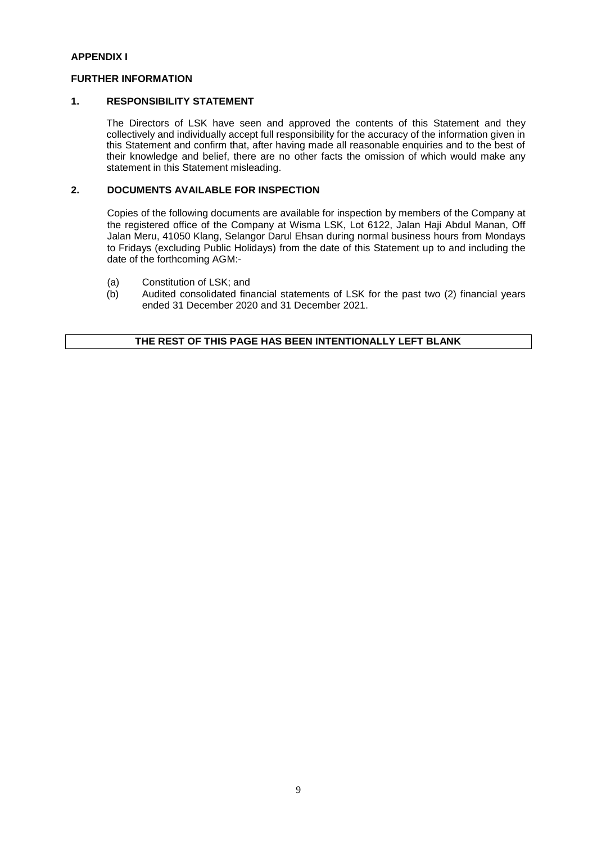## **APPENDIX I**

## **FURTHER INFORMATION**

## **1. RESPONSIBILITY STATEMENT**

The Directors of LSK have seen and approved the contents of this Statement and they collectively and individually accept full responsibility for the accuracy of the information given in this Statement and confirm that, after having made all reasonable enquiries and to the best of their knowledge and belief, there are no other facts the omission of which would make any statement in this Statement misleading.

## **2. DOCUMENTS AVAILABLE FOR INSPECTION**

Copies of the following documents are available for inspection by members of the Company at the registered office of the Company at Wisma LSK, Lot 6122, Jalan Haji Abdul Manan, Off Jalan Meru, 41050 Klang, Selangor Darul Ehsan during normal business hours from Mondays to Fridays (excluding Public Holidays) from the date of this Statement up to and including the date of the forthcoming AGM:-

- (a) Constitution of LSK; and<br>(b) Audited consolidated fina
- Audited consolidated financial statements of LSK for the past two (2) financial years ended 31 December 2020 and 31 December 2021.

## **THE REST OF THIS PAGE HAS BEEN INTENTIONALLY LEFT BLANK**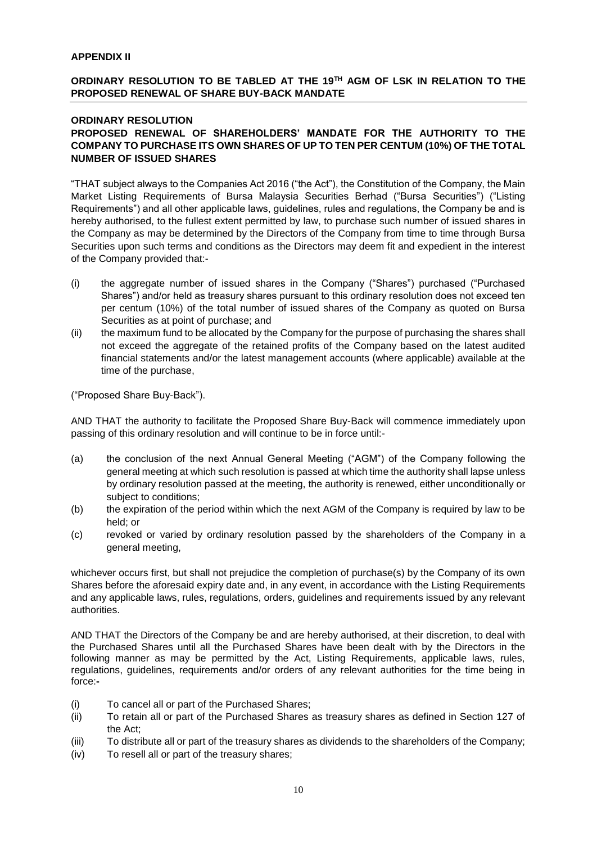## **APPENDIX II**

## **ORDINARY RESOLUTION TO BE TABLED AT THE 19 TH AGM OF LSK IN RELATION TO THE PROPOSED RENEWAL OF SHARE BUY-BACK MANDATE**

## **ORDINARY RESOLUTION**

## **PROPOSED RENEWAL OF SHAREHOLDERS' MANDATE FOR THE AUTHORITY TO THE COMPANY TO PURCHASE ITS OWN SHARES OF UP TO TEN PER CENTUM (10%) OF THE TOTAL NUMBER OF ISSUED SHARES**

"THAT subject always to the Companies Act 2016 ("the Act"), the Constitution of the Company, the Main Market Listing Requirements of Bursa Malaysia Securities Berhad ("Bursa Securities") ("Listing Requirements") and all other applicable laws, guidelines, rules and regulations, the Company be and is hereby authorised, to the fullest extent permitted by law, to purchase such number of issued shares in the Company as may be determined by the Directors of the Company from time to time through Bursa Securities upon such terms and conditions as the Directors may deem fit and expedient in the interest of the Company provided that:-

- (i) the aggregate number of issued shares in the Company ("Shares") purchased ("Purchased Shares") and/or held as treasury shares pursuant to this ordinary resolution does not exceed ten per centum (10%) of the total number of issued shares of the Company as quoted on Bursa Securities as at point of purchase; and
- (ii) the maximum fund to be allocated by the Company for the purpose of purchasing the shares shall not exceed the aggregate of the retained profits of the Company based on the latest audited financial statements and/or the latest management accounts (where applicable) available at the time of the purchase,

("Proposed Share Buy-Back").

AND THAT the authority to facilitate the Proposed Share Buy-Back will commence immediately upon passing of this ordinary resolution and will continue to be in force until:-

- (a) the conclusion of the next Annual General Meeting ("AGM") of the Company following the general meeting at which such resolution is passed at which time the authority shall lapse unless by ordinary resolution passed at the meeting, the authority is renewed, either unconditionally or subject to conditions;
- (b) the expiration of the period within which the next AGM of the Company is required by law to be held; or
- (c) revoked or varied by ordinary resolution passed by the shareholders of the Company in a general meeting,

whichever occurs first, but shall not prejudice the completion of purchase(s) by the Company of its own Shares before the aforesaid expiry date and, in any event, in accordance with the Listing Requirements and any applicable laws, rules, regulations, orders, guidelines and requirements issued by any relevant authorities.

AND THAT the Directors of the Company be and are hereby authorised, at their discretion, to deal with the Purchased Shares until all the Purchased Shares have been dealt with by the Directors in the following manner as may be permitted by the Act, Listing Requirements, applicable laws, rules, regulations, guidelines, requirements and/or orders of any relevant authorities for the time being in force:**-**

- (i) To cancel all or part of the Purchased Shares;
- (ii) To retain all or part of the Purchased Shares as treasury shares as defined in Section 127 of the Act;
- (iii) To distribute all or part of the treasury shares as dividends to the shareholders of the Company;
- (iv) To resell all or part of the treasury shares;